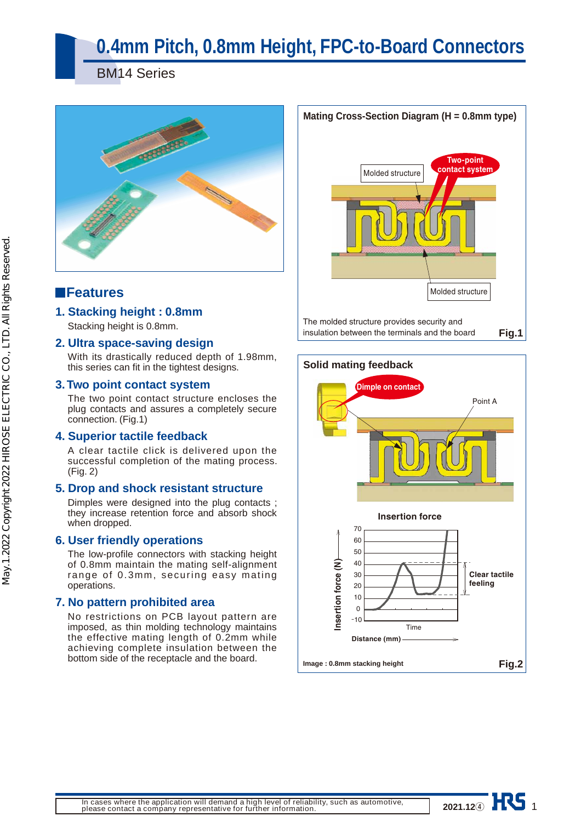# **0.4mm Pitch, 0.8mm Height, FPC-to-Board Connectors**

BM14 Series



### **Features**

### **1. Stacking height : 0.8mm**

Stacking height is 0.8mm.

#### **2. Ultra space-saving design**

With its drastically reduced depth of 1.98mm, this series can fit in the tightest designs.

#### **3. Two point contact system**

The two point contact structure encloses the plug contacts and assures a completely secure connection. (Fig.1)

#### **4. Superior tactile feedback**

A clear tactile click is delivered upon the successful completion of the mating process. (Fig. 2)

#### **5. Drop and shock resistant structure**

Dimples were designed into the plug contacts ; they increase retention force and absorb shock when dropped.

#### **6. User friendly operations**

The low-profile connectors with stacking height of 0.8mm maintain the mating self-alignment range of 0.3mm, securing easy mating operations.

#### **7. No pattern prohibited area**

No restrictions on PCB layout pattern are imposed, as thin molding technology maintains the effective mating length of 0.2mm while achieving complete insulation between the bottom side of the receptacle and the board.





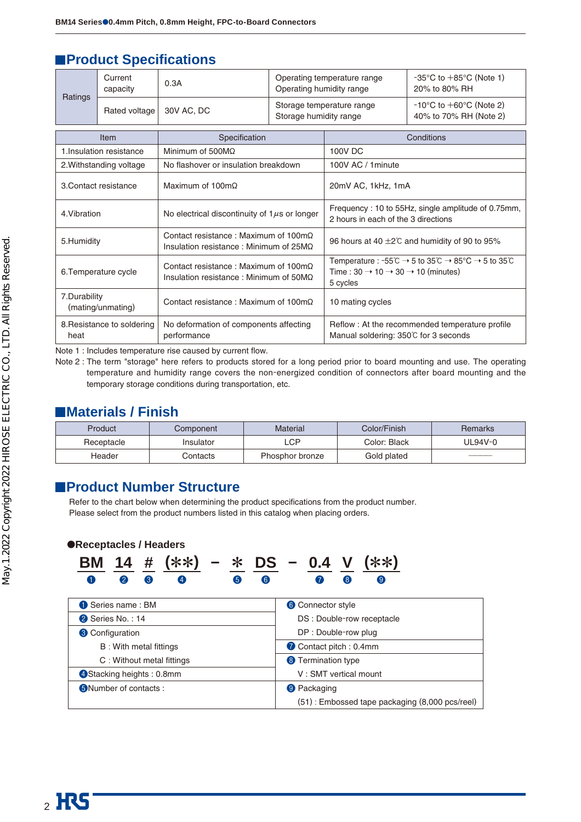### **Product Specifications**

| Current<br>capacity<br>Ratings<br>Rated voltage                                          |                            | 0.3A                                                                                                 | Operating temperature range<br>Operating humidity range |                                                                                           | $-35^{\circ}$ C to $+85^{\circ}$ C (Note 1)<br>20% to 80% RH                                                                                                                                                         |  |
|------------------------------------------------------------------------------------------|----------------------------|------------------------------------------------------------------------------------------------------|---------------------------------------------------------|-------------------------------------------------------------------------------------------|----------------------------------------------------------------------------------------------------------------------------------------------------------------------------------------------------------------------|--|
|                                                                                          |                            | 30V AC, DC                                                                                           | Storage humidity range                                  | Storage temperature range                                                                 | $-10^{\circ}$ C to $+60^{\circ}$ C (Note 2)<br>40% to 70% RH (Note 2)                                                                                                                                                |  |
|                                                                                          | Item                       | Specification                                                                                        |                                                         |                                                                                           | Conditions                                                                                                                                                                                                           |  |
|                                                                                          | 1. Insulation resistance   | Minimum of $500M\Omega$                                                                              |                                                         | 100V DC                                                                                   |                                                                                                                                                                                                                      |  |
|                                                                                          | 2. Withstanding voltage    | No flashover or insulation breakdown                                                                 |                                                         | 100V AC / 1 minute                                                                        |                                                                                                                                                                                                                      |  |
| 3. Contact resistance<br>Maximum of 100m $\Omega$                                        |                            |                                                                                                      | 20mV AC, 1kHz, 1mA                                      |                                                                                           |                                                                                                                                                                                                                      |  |
| 4. Vibration                                                                             |                            | No electrical discontinuity of $1\mu s$ or longer                                                    |                                                         | Frequency: 10 to 55Hz, single amplitude of 0.75mm,<br>2 hours in each of the 3 directions |                                                                                                                                                                                                                      |  |
| 5.Humidity                                                                               |                            | Contact resistance: Maximum of 100m $\Omega$<br>Insulation resistance: Minimum of $25M\Omega$        |                                                         | 96 hours at 40 $\pm 2^{\circ}$ C and humidity of 90 to 95%                                |                                                                                                                                                                                                                      |  |
| 6. Temperature cycle                                                                     |                            | Contact resistance: Maximum of $100 \text{m}\Omega$<br>Insulation resistance: Minimum of $50M\Omega$ | 5 cycles                                                |                                                                                           | Temperature : $-55^{\circ}\text{C} \rightarrow 5$ to $35^{\circ}\text{C} \rightarrow 85^{\circ}\text{C} \rightarrow 5$ to $35^{\circ}\text{C}$<br>Time : $30 \rightarrow 10 \rightarrow 30 \rightarrow 10$ (minutes) |  |
| 7.Durability<br>Contact resistance: Maximum of $100 \text{m}\Omega$<br>(mating/unmating) |                            | 10 mating cycles                                                                                     |                                                         |                                                                                           |                                                                                                                                                                                                                      |  |
| heat                                                                                     | 8. Resistance to soldering | No deformation of components affecting<br>performance                                                |                                                         | Reflow: At the recommended temperature profile<br>Manual soldering: 350°C for 3 seconds   |                                                                                                                                                                                                                      |  |

Note 1 : Includes temperature rise caused by current flow.

Note 2 : The term "storage" here refers to products stored for a long period prior to board mounting and use. The operating temperature and humidity range covers the non-energized condition of connectors after board mounting and the temporary storage conditions during transportation, etc.

### **Materials / Finish**

| Product    | Component | Material        | Color/Finish | <b>Remarks</b> |
|------------|-----------|-----------------|--------------|----------------|
| Receptacle | Insulator | _CP.            | Color: Black | UL94V-0        |
| Header     | Contacts  | Phosphor bronze | Gold plated  |                |

### **Product Number Structure**

Refer to the chart below when determining the product specifications from the product number. Please select from the product numbers listed in this catalog when placing orders.

●**Receptacles / Headers**



| Series name: BM           | 6 Connector style                              |  |  |
|---------------------------|------------------------------------------------|--|--|
| 2 Series No.: 14          | DS : Double-row receptacle                     |  |  |
| <b>8</b> Configuration    | DP: Double-row plug                            |  |  |
| B: With metal fittings    | Contact pitch: 0.4mm                           |  |  |
| C: Without metal fittings | <sup>8</sup> Termination type                  |  |  |
| 4 Stacking heights: 0.8mm | V: SMT vertical mount                          |  |  |
| 5 Number of contacts :    | <sup>9</sup> Packaging                         |  |  |
|                           | (51): Embossed tape packaging (8,000 pcs/reel) |  |  |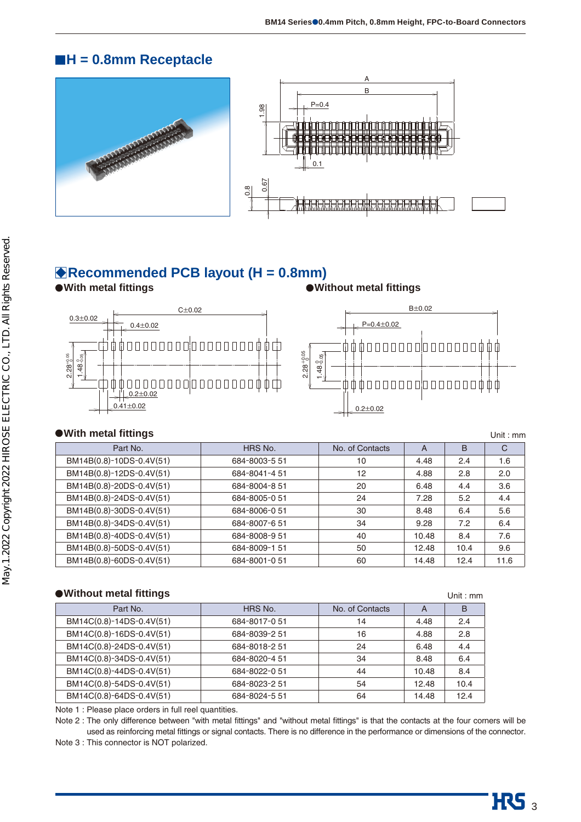### **H = 0.8mm Receptacle**





### **Recommended PCB layout (H = 0.8mm)**

**With metal fittings Without metal fittings**



#### **• With metal fittings CONSERVITY CONSERVITY CONSERVATION Unit : mm**

| Part No.                 | HRS No.       | No. of Contacts | A     | B    | C    |
|--------------------------|---------------|-----------------|-------|------|------|
| BM14B(0.8)-10DS-0.4V(51) | 684-8003-5 51 | 10              | 4.48  | 2.4  | 1.6  |
| BM14B(0.8)-12DS-0.4V(51) | 684-8041-4 51 | 12              | 4.88  | 2.8  | 2.0  |
| BM14B(0.8)-20DS-0.4V(51) | 684-8004-8 51 | 20              | 6.48  | 4.4  | 3.6  |
| BM14B(0.8)-24DS-0.4V(51) | 684-8005-0 51 | 24              | 7.28  | 5.2  | 4.4  |
| BM14B(0.8)-30DS-0.4V(51) | 684-8006-0 51 | 30              | 8.48  | 6.4  | 5.6  |
| BM14B(0.8)-34DS-0.4V(51) | 684-8007-651  | 34              | 9.28  | 7.2  | 6.4  |
| BM14B(0.8)-40DS-0.4V(51) | 684-8008-9 51 | 40              | 10.48 | 8.4  | 7.6  |
| BM14B(0.8)-50DS-0.4V(51) | 684-8009-1 51 | 50              | 12.48 | 10.4 | 9.6  |
| BM14B(0.8)-60DS-0.4V(51) | 684-8001-051  | 60              | 14.48 | 12.4 | 11.6 |
|                          |               |                 |       |      |      |

#### ● Without metal fittings **■Without metal fittings**

|               |                 |       | <u>UIIIL IIIII</u> |
|---------------|-----------------|-------|--------------------|
| HRS No.       | No. of Contacts | A     | в                  |
| 684-8017-0 51 | 14              | 4.48  | 2.4                |
| 684-8039-2 51 | 16              | 4.88  | 2.8                |
| 684-8018-2 51 | 24              | 6.48  | 4.4                |
| 684-8020-4 51 | 34              | 8.48  | 6.4                |
| 684-8022-0 51 | 44              | 10.48 | 8.4                |
| 684-8023-2 51 | 54              | 12.48 | 10.4               |
| 684-8024-5 51 | 64              | 14.48 | 12.4               |
|               |                 |       |                    |

Note 1 : Please place orders in full reel quantities.

Note 2 : The only difference between "with metal fittings" and "without metal fittings" is that the contacts at the four corners will be used as reinforcing metal fittings or signal contacts. There is no difference in the performance or dimensions of the connector.

Note 3 : This connector is NOT polarized.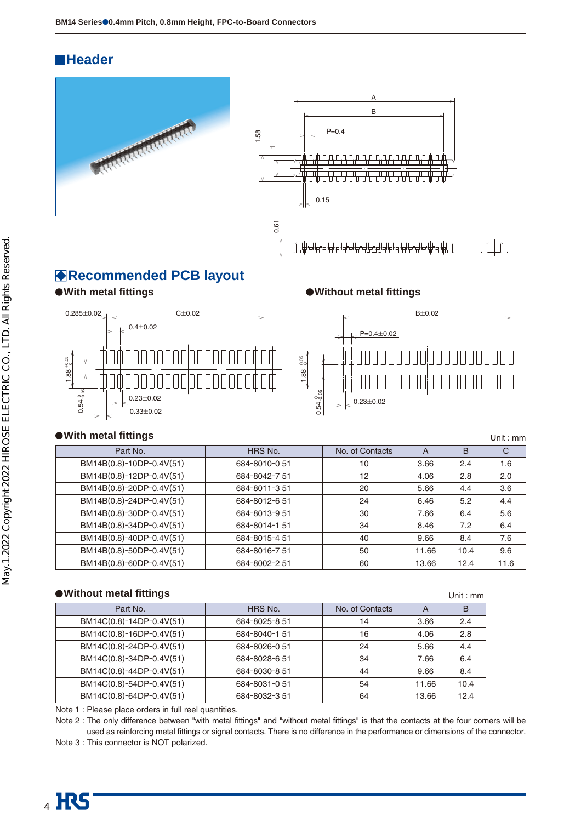### **Header**





### **Recommended PCB layout**



**With metal fittings Without metal fittings**



#### ● With metal fittings **Department of the Unit : mm** Department of the Unit : mm Department of the Unit : mm Department of the Unit : mm Department of the Unit : mm Department of the Unit : mm Department of the Unit : mm D

| Part No.                 | HRS No.       | No. of Contacts | A     | В    | C    |
|--------------------------|---------------|-----------------|-------|------|------|
| BM14B(0.8)-10DP-0.4V(51) | 684-8010-051  | 10              | 3.66  | 2.4  | 1.6  |
| BM14B(0.8)-12DP-0.4V(51) | 684-8042-751  | 12              | 4.06  | 2.8  | 2.0  |
| BM14B(0.8)-20DP-0.4V(51) | 684-8011-351  | 20              | 5.66  | 4.4  | 3.6  |
| BM14B(0.8)-24DP-0.4V(51) | 684-8012-6 51 | 24              | 6.46  | 5.2  | 4.4  |
| BM14B(0.8)-30DP-0.4V(51) | 684-8013-9 51 | 30              | 7.66  | 6.4  | 5.6  |
| BM14B(0.8)-34DP-0.4V(51) | 684-8014-151  | 34              | 8.46  | 7.2  | 6.4  |
| BM14B(0.8)-40DP-0.4V(51) | 684-8015-4 51 | 40              | 9.66  | 8.4  | 7.6  |
| BM14B(0.8)-50DP-0.4V(51) | 684-8016-751  | 50              | 11.66 | 10.4 | 9.6  |
| BM14B(0.8)-60DP-0.4V(51) | 684-8002-2 51 | 60              | 13.66 | 12.4 | 11.6 |

#### ● Without metal fittings **■ Without metal fittings**

|                          |               |                 |       | <u>UIIIL.IIII</u> |
|--------------------------|---------------|-----------------|-------|-------------------|
| Part No.                 | HRS No.       | No. of Contacts | A     | в                 |
| BM14C(0.8)-14DP-0.4V(51) | 684-8025-8 51 | 14              | 3.66  | 2.4               |
| BM14C(0.8)-16DP-0.4V(51) | 684-8040-151  | 16              | 4.06  | 2.8               |
| BM14C(0.8)-24DP-0.4V(51) | 684-8026-0 51 | 24              | 5.66  | 4.4               |
| BM14C(0.8)-34DP-0.4V(51) | 684-8028-6 51 | 34              | 7.66  | 6.4               |
| BM14C(0.8)-44DP-0.4V(51) | 684-8030-8 51 | 44              | 9.66  | 8.4               |
| BM14C(0.8)-54DP-0.4V(51) | 684-8031-051  | 54              | 11.66 | 10.4              |
| BM14C(0.8)-64DP-0.4V(51) | 684-8032-3 51 | 64              | 13.66 | 12.4              |

Note 1 : Please place orders in full reel quantities.

Note 2 : The only difference between "with metal fittings" and "without metal fittings" is that the contacts at the four corners will be used as reinforcing metal fittings or signal contacts. There is no difference in the performance or dimensions of the connector.

Note 3 : This connector is NOT polarized.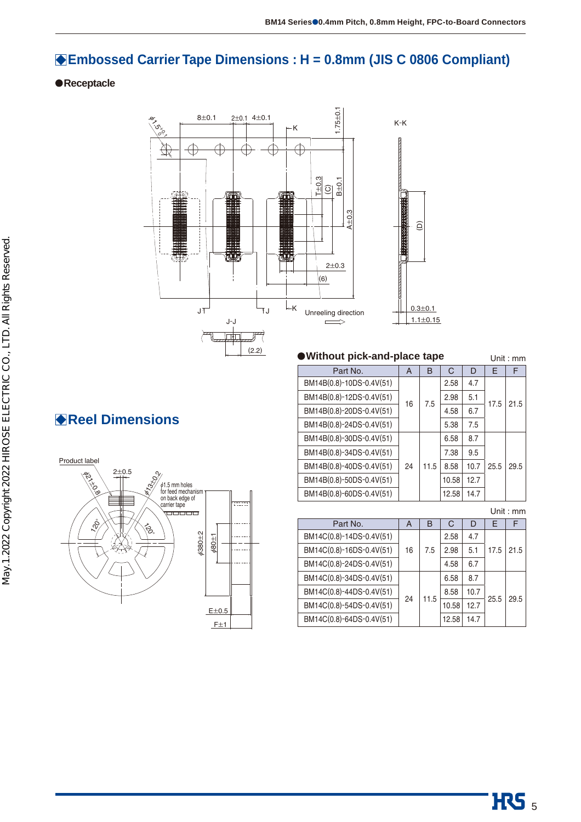### **Embossed Carrier Tape Dimensions : H = 0.8mm (JIS C 0806 Compliant)**

#### **Receptacle**



#### **Without pick-and-place tape Unit: mm**

| Part No.                 | A  | в    | C     | D    | F    | F    |    |  |     |      |     |
|--------------------------|----|------|-------|------|------|------|----|--|-----|------|-----|
| BM14B(0.8)-10DS-0.4V(51) |    |      |       | 2.58 | 4.7  |      |    |  |     |      |     |
| BM14B(0.8)-12DS-0.4V(51) |    |      |       |      |      |      | 16 |  | 7.5 | 2.98 | 5.1 |
| BM14B(0.8)-20DS-0.4V(51) |    |      | 4.58  | 6.7  |      |      |    |  |     |      |     |
| BM14B(0.8)-24DS-0.4V(51) |    |      | 5.38  | 7.5  |      |      |    |  |     |      |     |
| BM14B(0.8)-30DS-0.4V(51) |    |      | 6.58  | 8.7  |      |      |    |  |     |      |     |
| BM14B(0.8)-34DS-0.4V(51) |    |      | 7.38  | 9.5  |      |      |    |  |     |      |     |
| BM14B(0.8)-40DS-0.4V(51) | 24 | 11.5 | 8.58  | 10.7 | 25.5 | 29.5 |    |  |     |      |     |
| BM14B(0.8)-50DS-0.4V(51) |    |      | 10.58 | 12.7 |      |      |    |  |     |      |     |
| BM14B(0.8)-60DS-0.4V(51) |    |      | 12.58 | 14.7 |      |      |    |  |     |      |     |

Unit : mm

| Part No.                 | A  | в    | C     | D    | F    |      |
|--------------------------|----|------|-------|------|------|------|
| BM14C(0.8)-14DS-0.4V(51) |    |      | 2.58  | 4.7  |      |      |
| BM14C(0.8)-16DS-0.4V(51) | 16 | 7.5  | 2.98  | 5.1  | 17.5 | 21.5 |
| BM14C(0.8)-24DS-0.4V(51) |    |      | 4.58  | 6.7  |      |      |
| BM14C(0.8)-34DS-0.4V(51) |    |      | 6.58  | 8.7  |      |      |
| BM14C(0.8)-44DS-0.4V(51) | 24 |      | 8.58  | 10.7 |      | 29.5 |
| BM14C(0.8)-54DS-0.4V(51) |    | 11.5 | 10.58 | 12.7 | 25.5 |      |
| BM14C(0.8)-64DS-0.4V(51) |    |      | 12.58 | 14.7 |      |      |

## **Reel Dimensions**

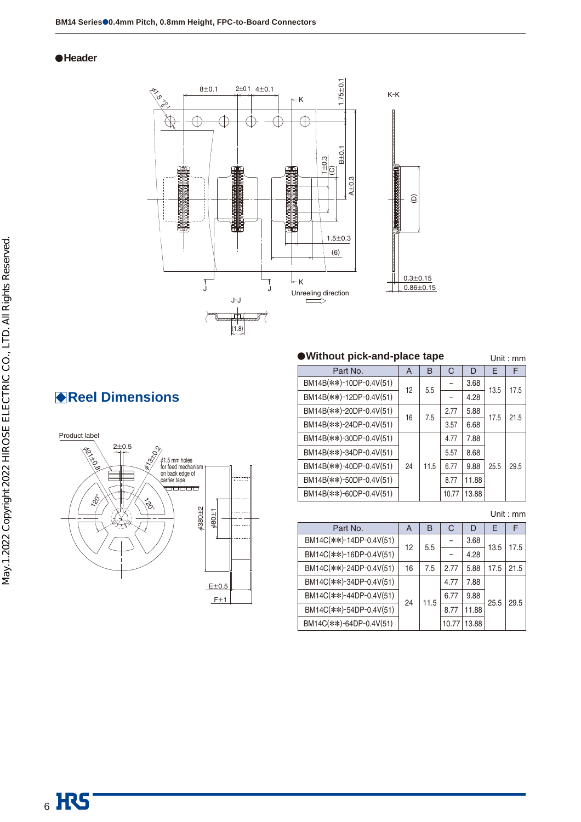#### **Header**



### **Reel Dimensions**



#### **Without pick-and-place tape** Unit : mm

| $\ldots$                |           |      |       |       | <u>UIIIL.IIIII</u> |      |
|-------------------------|-----------|------|-------|-------|--------------------|------|
| Part No.                | A         | в    | C     | D     | F                  | F    |
| BM14B(**)-10DP-0.4V(51) | 12        | 5.5  |       | 3.68  | 13.5               | 17.5 |
| BM14B(**)-12DP-0.4V(51) |           |      |       | 4.28  |                    |      |
| BM14B(**)-20DP-0.4V(51) | 7.5<br>16 |      | 2.77  | 5.88  | 17.5               | 21.5 |
| BM14B(**)-24DP-0.4V(51) |           | 3.57 | 6.68  |       |                    |      |
| BM14B(**)-30DP-0.4V(51) |           |      | 4.77  | 7.88  |                    |      |
| BM14B(**)-34DP-0.4V(51) |           |      | 5.57  | 8.68  |                    |      |
| BM14B(**)-40DP-0.4V(51) | 24        | 11.5 | 6.77  | 9.88  | 25.5               | 29.5 |
| BM14B(**)-50DP-0.4V(51) |           |      | 8.77  | 11.88 |                    |      |
| BM14B(**)-60DP-0.4V(51) |           |      | 10.77 | 13.88 |                    |      |

Unit : mm

| Part No.                | A  | B    | C    | D     | F     | F    |
|-------------------------|----|------|------|-------|-------|------|
| BM14C(**)-14DP-0.4V(51) | 12 | 5.5  |      | 3.68  | 13.5  |      |
| BM14C(**)-16DP-0.4V(51) |    |      |      | 4.28  |       | 17.5 |
| BM14C(**)-24DP-0.4V(51) | 16 | 7.5  | 2.77 | 5.88  | 17.5  | 21.5 |
| BM14C(**)-34DP-0.4V(51) |    |      | 4.77 | 7.88  |       |      |
| BM14C(**)-44DP-0.4V(51) |    | 11.5 | 6.77 | 9.88  | 25.5  | 29.5 |
| BM14C(**)-54DP-0.4V(51) | 24 |      | 8.77 | 11.88 |       |      |
| BM14C(**)-64DP-0.4V(51) |    |      |      | 10.77 | 13.88 |      |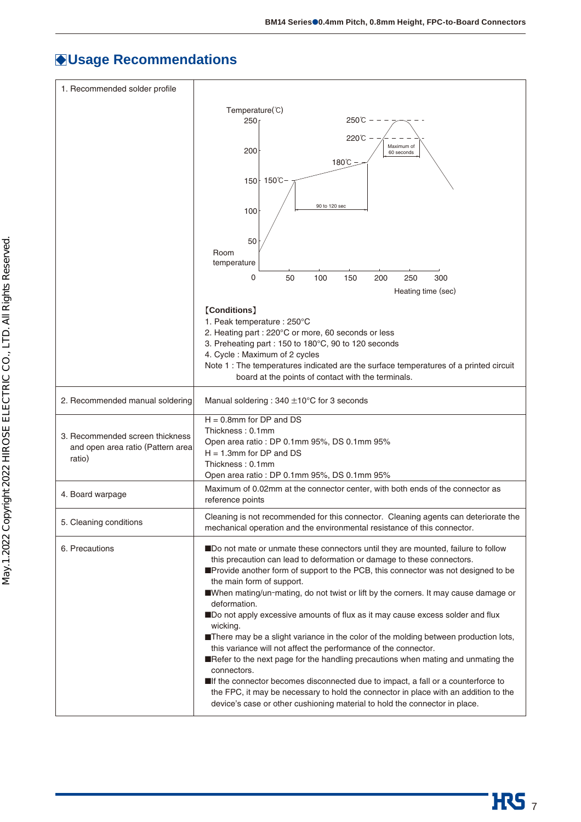$HSS<sub>7</sub>$ 

### **Usage Recommendations**

| 1. Recommended solder profile     |                                                                                                                                                                 |  |  |  |  |
|-----------------------------------|-----------------------------------------------------------------------------------------------------------------------------------------------------------------|--|--|--|--|
|                                   | Temperature(°C)                                                                                                                                                 |  |  |  |  |
|                                   | 250℃<br>250 <sub>1</sub>                                                                                                                                        |  |  |  |  |
|                                   | 220℃ -                                                                                                                                                          |  |  |  |  |
|                                   | Maximum of<br>200<br>60 seconds                                                                                                                                 |  |  |  |  |
|                                   | 180°C                                                                                                                                                           |  |  |  |  |
|                                   | 150 150℃                                                                                                                                                        |  |  |  |  |
|                                   |                                                                                                                                                                 |  |  |  |  |
|                                   | 90 to 120 sec<br>100                                                                                                                                            |  |  |  |  |
|                                   |                                                                                                                                                                 |  |  |  |  |
|                                   | 50                                                                                                                                                              |  |  |  |  |
|                                   | Room<br>temperature                                                                                                                                             |  |  |  |  |
|                                   | 0<br>100<br>250<br>50<br>150<br>200<br>300                                                                                                                      |  |  |  |  |
|                                   | Heating time (sec)                                                                                                                                              |  |  |  |  |
|                                   |                                                                                                                                                                 |  |  |  |  |
|                                   | [Conditions]<br>1. Peak temperature : 250°C                                                                                                                     |  |  |  |  |
|                                   | 2. Heating part : 220°C or more, 60 seconds or less                                                                                                             |  |  |  |  |
|                                   | 3. Preheating part: 150 to 180°C, 90 to 120 seconds                                                                                                             |  |  |  |  |
|                                   | 4. Cycle: Maximum of 2 cycles<br>Note 1 : The temperatures indicated are the surface temperatures of a printed circuit                                          |  |  |  |  |
|                                   | board at the points of contact with the terminals.                                                                                                              |  |  |  |  |
| 2. Recommended manual soldering   | Manual soldering: $340 \pm 10^{\circ}$ C for 3 seconds                                                                                                          |  |  |  |  |
|                                   | $H = 0.8$ mm for DP and DS                                                                                                                                      |  |  |  |  |
| 3. Recommended screen thickness   | Thickness: 0.1mm                                                                                                                                                |  |  |  |  |
| and open area ratio (Pattern area | Open area ratio : DP 0.1mm 95%, DS 0.1mm 95%<br>$H = 1.3$ mm for DP and DS                                                                                      |  |  |  |  |
| ratio)                            | Thickness: 0.1mm                                                                                                                                                |  |  |  |  |
|                                   | Open area ratio : DP 0.1mm 95%, DS 0.1mm 95%                                                                                                                    |  |  |  |  |
| 4. Board warpage                  | Maximum of 0.02mm at the connector center, with both ends of the connector as<br>reference points                                                               |  |  |  |  |
| 5. Cleaning conditions            | Cleaning is not recommended for this connector. Cleaning agents can deteriorate the<br>mechanical operation and the environmental resistance of this connector. |  |  |  |  |
| 6. Precautions                    | ■Do not mate or unmate these connectors until they are mounted, failure to follow                                                                               |  |  |  |  |
|                                   | this precaution can lead to deformation or damage to these connectors.                                                                                          |  |  |  |  |
|                                   | Provide another form of support to the PCB, this connector was not designed to be                                                                               |  |  |  |  |
|                                   | the main form of support.<br>When mating/un-mating, do not twist or lift by the corners. It may cause damage or                                                 |  |  |  |  |
|                                   | deformation.                                                                                                                                                    |  |  |  |  |
|                                   | Do not apply excessive amounts of flux as it may cause excess solder and flux                                                                                   |  |  |  |  |
|                                   | wicking.<br>There may be a slight variance in the color of the molding between production lots,                                                                 |  |  |  |  |
|                                   | this variance will not affect the performance of the connector.                                                                                                 |  |  |  |  |
|                                   | Refer to the next page for the handling precautions when mating and unmating the<br>connectors.                                                                 |  |  |  |  |
|                                   | If the connector becomes disconnected due to impact, a fall or a counterforce to                                                                                |  |  |  |  |
|                                   | the FPC, it may be necessary to hold the connector in place with an addition to the                                                                             |  |  |  |  |
|                                   | device's case or other cushioning material to hold the connector in place.                                                                                      |  |  |  |  |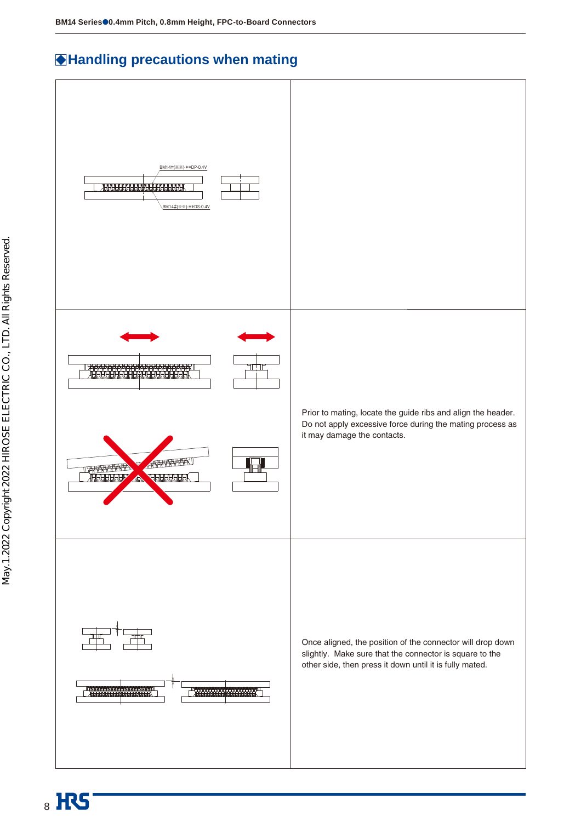### **Handling precautions when mating**